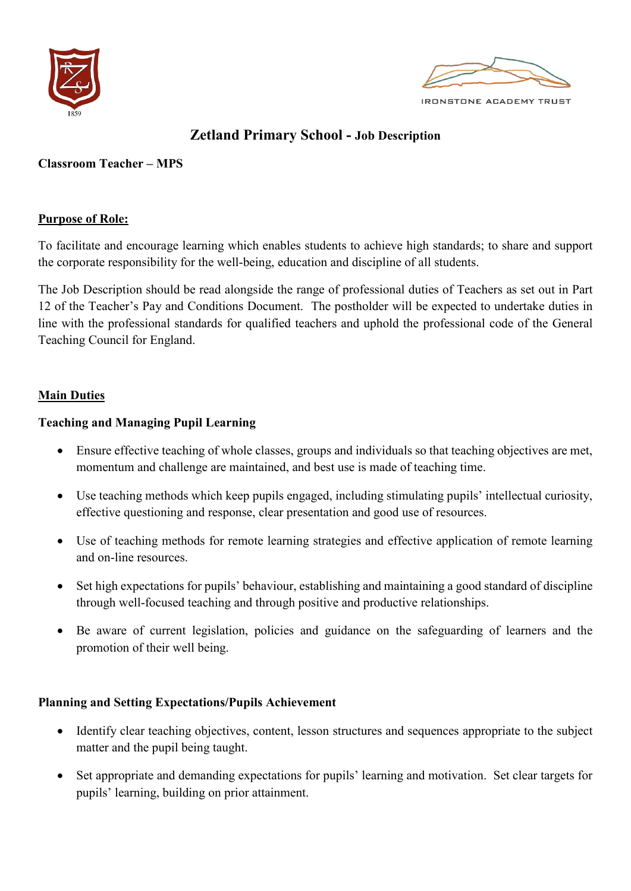



**IRONSTONE ACADEMY TRUST** 

# **Zetland Primary School - Job Description**

# **Classroom Teacher – MPS**

# **Purpose of Role:**

To facilitate and encourage learning which enables students to achieve high standards; to share and support the corporate responsibility for the well-being, education and discipline of all students.

The Job Description should be read alongside the range of professional duties of Teachers as set out in Part 12 of the Teacher's Pay and Conditions Document. The postholder will be expected to undertake duties in line with the professional standards for qualified teachers and uphold the professional code of the General Teaching Council for England.

# **Main Duties**

# **Teaching and Managing Pupil Learning**

- Ensure effective teaching of whole classes, groups and individuals so that teaching objectives are met, momentum and challenge are maintained, and best use is made of teaching time.
- Use teaching methods which keep pupils engaged, including stimulating pupils' intellectual curiosity, effective questioning and response, clear presentation and good use of resources.
- Use of teaching methods for remote learning strategies and effective application of remote learning and on-line resources.
- Set high expectations for pupils' behaviour, establishing and maintaining a good standard of discipline through well-focused teaching and through positive and productive relationships.
- Be aware of current legislation, policies and guidance on the safeguarding of learners and the promotion of their well being.

# **Planning and Setting Expectations/Pupils Achievement**

- Identify clear teaching objectives, content, lesson structures and sequences appropriate to the subject matter and the pupil being taught.
- Set appropriate and demanding expectations for pupils' learning and motivation. Set clear targets for pupils' learning, building on prior attainment.